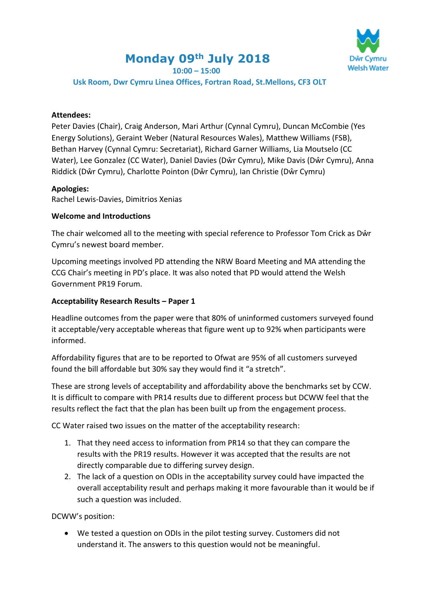# **Monday 09th July 2018**



**10:00 – 15:00**

 **Usk Room, Dwr Cymru Linea Offices, Fortran Road, St.Mellons, CF3 OLT**

#### **Attendees:**

Peter Davies (Chair), Craig Anderson, Mari Arthur (Cynnal Cymru), Duncan McCombie (Yes Energy Solutions), Geraint Weber (Natural Resources Wales), Matthew Williams (FSB), Bethan Harvey (Cynnal Cymru: Secretariat), Richard Garner Williams, Lia Moutselo (CC Water), Lee Gonzalez (CC Water), Daniel Davies (Dŵr Cymru), Mike Davis (Dŵr Cymru), Anna Riddick (Dŵr Cymru), Charlotte Pointon (Dŵr Cymru), Ian Christie (Dŵr Cymru)

#### **Apologies:**

Rachel Lewis-Davies, Dimitrios Xenias

#### **Welcome and Introductions**

The chair welcomed all to the meeting with special reference to Professor Tom Crick as Dŵr Cymru's newest board member.

Upcoming meetings involved PD attending the NRW Board Meeting and MA attending the CCG Chair's meeting in PD's place. It was also noted that PD would attend the Welsh Government PR19 Forum.

#### **Acceptability Research Results – Paper 1**

Headline outcomes from the paper were that 80% of uninformed customers surveyed found it acceptable/very acceptable whereas that figure went up to 92% when participants were informed.

Affordability figures that are to be reported to Ofwat are 95% of all customers surveyed found the bill affordable but 30% say they would find it "a stretch".

These are strong levels of acceptability and affordability above the benchmarks set by CCW. It is difficult to compare with PR14 results due to different process but DCWW feel that the results reflect the fact that the plan has been built up from the engagement process.

CC Water raised two issues on the matter of the acceptability research:

- 1. That they need access to information from PR14 so that they can compare the results with the PR19 results. However it was accepted that the results are not directly comparable due to differing survey design.
- 2. The lack of a question on ODIs in the acceptability survey could have impacted the overall acceptability result and perhaps making it more favourable than it would be if such a question was included.

DCWW's position:

 We tested a question on ODIs in the pilot testing survey. Customers did not understand it. The answers to this question would not be meaningful.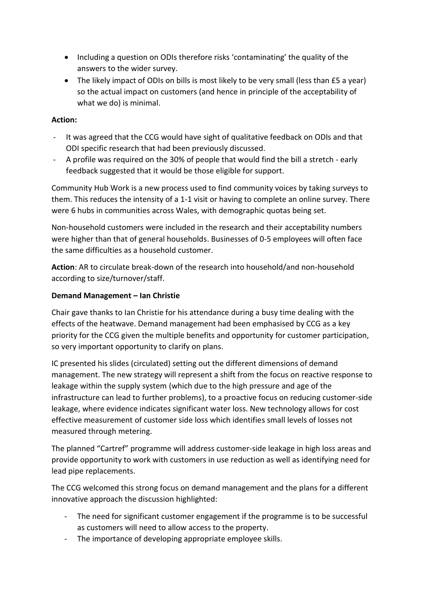- Including a question on ODIs therefore risks 'contaminating' the quality of the answers to the wider survey.
- The likely impact of ODIs on bills is most likely to be very small (less than £5 a year) so the actual impact on customers (and hence in principle of the acceptability of what we do) is minimal.

# **Action:**

- It was agreed that the CCG would have sight of qualitative feedback on ODIs and that ODI specific research that had been previously discussed.
- A profile was required on the 30% of people that would find the bill a stretch early feedback suggested that it would be those eligible for support.

Community Hub Work is a new process used to find community voices by taking surveys to them. This reduces the intensity of a 1-1 visit or having to complete an online survey. There were 6 hubs in communities across Wales, with demographic quotas being set.

Non-household customers were included in the research and their acceptability numbers were higher than that of general households. Businesses of 0-5 employees will often face the same difficulties as a household customer.

**Action**: AR to circulate break-down of the research into household/and non-household according to size/turnover/staff.

# **Demand Management – Ian Christie**

Chair gave thanks to Ian Christie for his attendance during a busy time dealing with the effects of the heatwave. Demand management had been emphasised by CCG as a key priority for the CCG given the multiple benefits and opportunity for customer participation, so very important opportunity to clarify on plans.

IC presented his slides (circulated) setting out the different dimensions of demand management. The new strategy will represent a shift from the focus on reactive response to leakage within the supply system (which due to the high pressure and age of the infrastructure can lead to further problems), to a proactive focus on reducing customer-side leakage, where evidence indicates significant water loss. New technology allows for cost effective measurement of customer side loss which identifies small levels of losses not measured through metering.

The planned "Cartref" programme will address customer-side leakage in high loss areas and provide opportunity to work with customers in use reduction as well as identifying need for lead pipe replacements.

The CCG welcomed this strong focus on demand management and the plans for a different innovative approach the discussion highlighted:

- The need for significant customer engagement if the programme is to be successful as customers will need to allow access to the property.
- The importance of developing appropriate employee skills.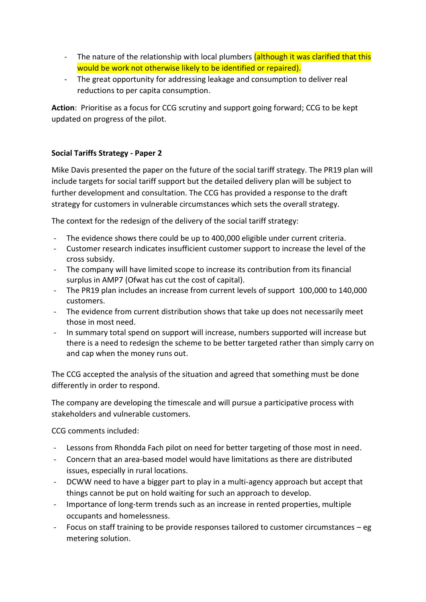- The nature of the relationship with local plumbers (although it was clarified that this would be work not otherwise likely to be identified or repaired).
- The great opportunity for addressing leakage and consumption to deliver real reductions to per capita consumption.

**Action**: Prioritise as a focus for CCG scrutiny and support going forward; CCG to be kept updated on progress of the pilot.

# **Social Tariffs Strategy - Paper 2**

Mike Davis presented the paper on the future of the social tariff strategy. The PR19 plan will include targets for social tariff support but the detailed delivery plan will be subject to further development and consultation. The CCG has provided a response to the draft strategy for customers in vulnerable circumstances which sets the overall strategy.

The context for the redesign of the delivery of the social tariff strategy:

- The evidence shows there could be up to 400,000 eligible under current criteria.
- Customer research indicates insufficient customer support to increase the level of the cross subsidy.
- The company will have limited scope to increase its contribution from its financial surplus in AMP7 (Ofwat has cut the cost of capital).
- The PR19 plan includes an increase from current levels of support 100,000 to 140,000 customers.
- The evidence from current distribution shows that take up does not necessarily meet those in most need.
- In summary total spend on support will increase, numbers supported will increase but there is a need to redesign the scheme to be better targeted rather than simply carry on and cap when the money runs out.

The CCG accepted the analysis of the situation and agreed that something must be done differently in order to respond.

The company are developing the timescale and will pursue a participative process with stakeholders and vulnerable customers.

CCG comments included:

- Lessons from Rhondda Fach pilot on need for better targeting of those most in need.
- Concern that an area-based model would have limitations as there are distributed issues, especially in rural locations.
- DCWW need to have a bigger part to play in a multi-agency approach but accept that things cannot be put on hold waiting for such an approach to develop.
- Importance of long-term trends such as an increase in rented properties, multiple occupants and homelessness.
- Focus on staff training to be provide responses tailored to customer circumstances eg metering solution.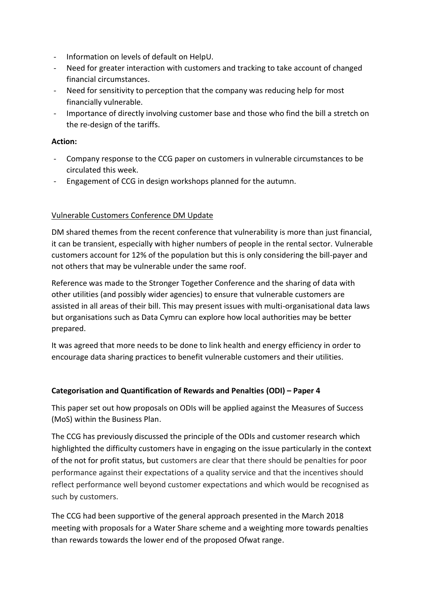- Information on levels of default on HelpU.
- Need for greater interaction with customers and tracking to take account of changed financial circumstances.
- Need for sensitivity to perception that the company was reducing help for most financially vulnerable.
- Importance of directly involving customer base and those who find the bill a stretch on the re-design of the tariffs.

## **Action:**

- Company response to the CCG paper on customers in vulnerable circumstances to be circulated this week.
- Engagement of CCG in design workshops planned for the autumn.

# Vulnerable Customers Conference DM Update

DM shared themes from the recent conference that vulnerability is more than just financial, it can be transient, especially with higher numbers of people in the rental sector. Vulnerable customers account for 12% of the population but this is only considering the bill-payer and not others that may be vulnerable under the same roof.

Reference was made to the Stronger Together Conference and the sharing of data with other utilities (and possibly wider agencies) to ensure that vulnerable customers are assisted in all areas of their bill. This may present issues with multi-organisational data laws but organisations such as Data Cymru can explore how local authorities may be better prepared.

It was agreed that more needs to be done to link health and energy efficiency in order to encourage data sharing practices to benefit vulnerable customers and their utilities.

## **Categorisation and Quantification of Rewards and Penalties (ODI) – Paper 4**

This paper set out how proposals on ODIs will be applied against the Measures of Success (MoS) within the Business Plan.

The CCG has previously discussed the principle of the ODIs and customer research which highlighted the difficulty customers have in engaging on the issue particularly in the context of the not for profit status, but customers are clear that there should be penalties for poor performance against their expectations of a quality service and that the incentives should reflect performance well beyond customer expectations and which would be recognised as such by customers.

The CCG had been supportive of the general approach presented in the March 2018 meeting with proposals for a Water Share scheme and a weighting more towards penalties than rewards towards the lower end of the proposed Ofwat range.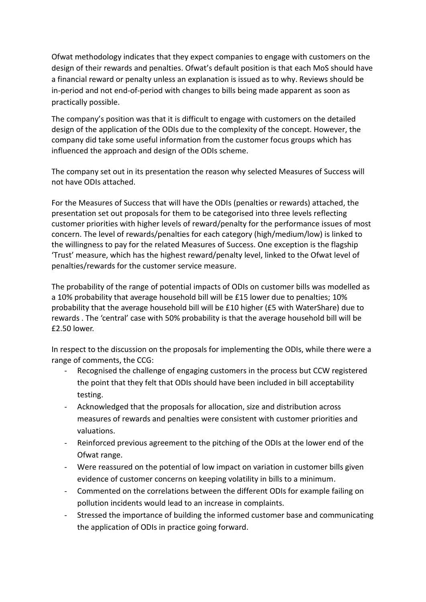Ofwat methodology indicates that they expect companies to engage with customers on the design of their rewards and penalties. Ofwat's default position is that each MoS should have a financial reward or penalty unless an explanation is issued as to why. Reviews should be in-period and not end-of-period with changes to bills being made apparent as soon as practically possible.

The company's position was that it is difficult to engage with customers on the detailed design of the application of the ODIs due to the complexity of the concept. However, the company did take some useful information from the customer focus groups which has influenced the approach and design of the ODIs scheme.

The company set out in its presentation the reason why selected Measures of Success will not have ODIs attached.

For the Measures of Success that will have the ODIs (penalties or rewards) attached, the presentation set out proposals for them to be categorised into three levels reflecting customer priorities with higher levels of reward/penalty for the performance issues of most concern. The level of rewards/penalties for each category (high/medium/low) is linked to the willingness to pay for the related Measures of Success. One exception is the flagship 'Trust' measure, which has the highest reward/penalty level, linked to the Ofwat level of penalties/rewards for the customer service measure.

The probability of the range of potential impacts of ODIs on customer bills was modelled as a 10% probability that average household bill will be £15 lower due to penalties; 10% probability that the average household bill will be £10 higher (£5 with WaterShare) due to rewards . The 'central' case with 50% probability is that the average household bill will be £2.50 lower.

In respect to the discussion on the proposals for implementing the ODIs, while there were a range of comments, the CCG:

- Recognised the challenge of engaging customers in the process but CCW registered the point that they felt that ODIs should have been included in bill acceptability testing.
- Acknowledged that the proposals for allocation, size and distribution across measures of rewards and penalties were consistent with customer priorities and valuations.
- Reinforced previous agreement to the pitching of the ODIs at the lower end of the Ofwat range.
- Were reassured on the potential of low impact on variation in customer bills given evidence of customer concerns on keeping volatility in bills to a minimum.
- Commented on the correlations between the different ODIs for example failing on pollution incidents would lead to an increase in complaints.
- Stressed the importance of building the informed customer base and communicating the application of ODIs in practice going forward.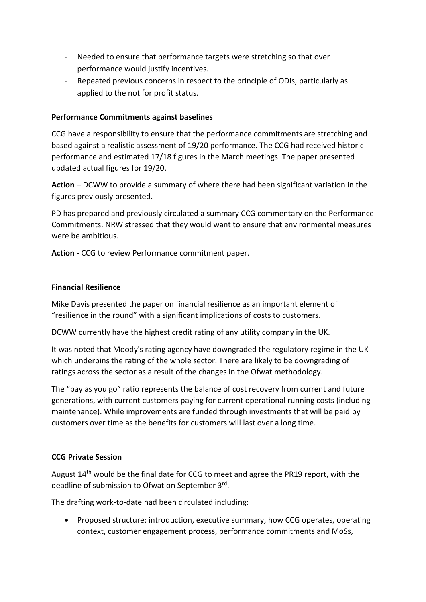- Needed to ensure that performance targets were stretching so that over performance would justify incentives.
- Repeated previous concerns in respect to the principle of ODIs, particularly as applied to the not for profit status.

## **Performance Commitments against baselines**

CCG have a responsibility to ensure that the performance commitments are stretching and based against a realistic assessment of 19/20 performance. The CCG had received historic performance and estimated 17/18 figures in the March meetings. The paper presented updated actual figures for 19/20.

**Action –** DCWW to provide a summary of where there had been significant variation in the figures previously presented.

PD has prepared and previously circulated a summary CCG commentary on the Performance Commitments. NRW stressed that they would want to ensure that environmental measures were be ambitious.

**Action -** CCG to review Performance commitment paper.

#### **Financial Resilience**

Mike Davis presented the paper on financial resilience as an important element of "resilience in the round" with a significant implications of costs to customers.

DCWW currently have the highest credit rating of any utility company in the UK.

It was noted that Moody's rating agency have downgraded the regulatory regime in the UK which underpins the rating of the whole sector. There are likely to be downgrading of ratings across the sector as a result of the changes in the Ofwat methodology.

The "pay as you go" ratio represents the balance of cost recovery from current and future generations, with current customers paying for current operational running costs (including maintenance). While improvements are funded through investments that will be paid by customers over time as the benefits for customers will last over a long time.

#### **CCG Private Session**

August 14<sup>th</sup> would be the final date for CCG to meet and agree the PR19 report, with the deadline of submission to Ofwat on September 3rd.

The drafting work-to-date had been circulated including:

• Proposed structure: introduction, executive summary, how CCG operates, operating context, customer engagement process, performance commitments and MoSs,